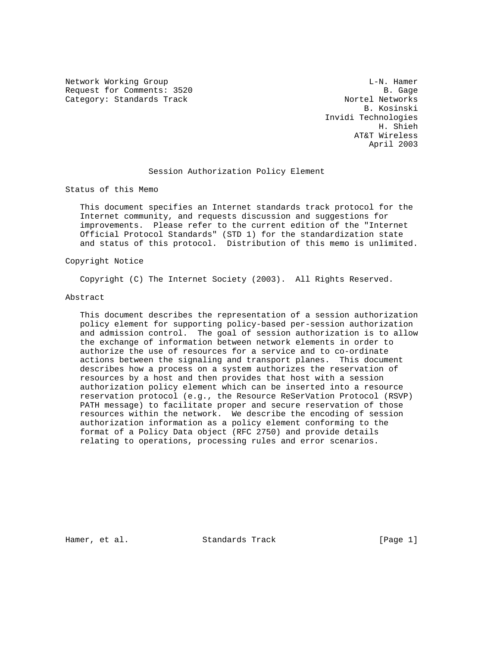Network Working Group and the contract of the contract of the L-N. Hamer Request for Comments: 3520<br>Category: Standards Track and the comments: 1520 Category: Standards Track

 B. Kosinski Invidi Technologies H. Shieh AT&T Wireless April 2003

## Session Authorization Policy Element

Status of this Memo

 This document specifies an Internet standards track protocol for the Internet community, and requests discussion and suggestions for improvements. Please refer to the current edition of the "Internet Official Protocol Standards" (STD 1) for the standardization state and status of this protocol. Distribution of this memo is unlimited.

### Copyright Notice

Copyright (C) The Internet Society (2003). All Rights Reserved.

### Abstract

 This document describes the representation of a session authorization policy element for supporting policy-based per-session authorization and admission control. The goal of session authorization is to allow the exchange of information between network elements in order to authorize the use of resources for a service and to co-ordinate actions between the signaling and transport planes. This document describes how a process on a system authorizes the reservation of resources by a host and then provides that host with a session authorization policy element which can be inserted into a resource reservation protocol (e.g., the Resource ReSerVation Protocol (RSVP) PATH message) to facilitate proper and secure reservation of those resources within the network. We describe the encoding of session authorization information as a policy element conforming to the format of a Policy Data object (RFC 2750) and provide details relating to operations, processing rules and error scenarios.

Hamer, et al. Standards Track [Page 1]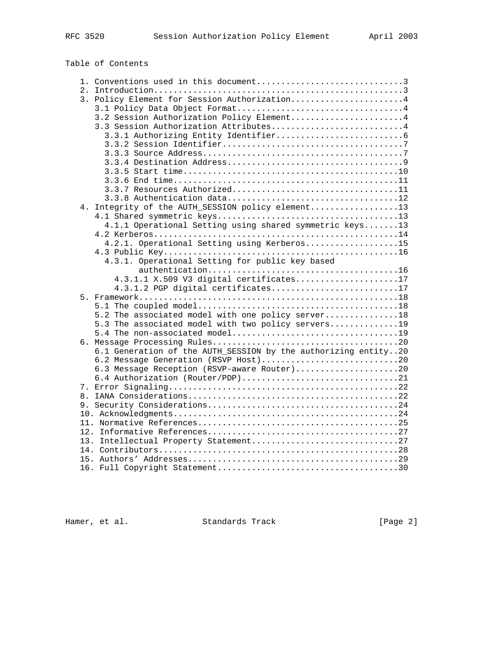# Table of Contents

|       | 1. Conventions used in this document3                          |
|-------|----------------------------------------------------------------|
| 2.    |                                                                |
|       | 3. Policy Element for Session Authorization4                   |
|       |                                                                |
|       | 3.2 Session Authorization Policy Element4                      |
|       | 3.3 Session Authorization Attributes4                          |
|       |                                                                |
|       |                                                                |
|       |                                                                |
|       |                                                                |
|       |                                                                |
|       |                                                                |
|       | 3.3.7 Resources Authorized11                                   |
|       |                                                                |
| $4$ . | Integrity of the AUTH_SESSION policy element13                 |
|       |                                                                |
|       | 4.1.1 Operational Setting using shared symmetric keys13        |
|       |                                                                |
|       | 4.2.1. Operational Setting using Kerberos15                    |
|       |                                                                |
|       | 4.3.1. Operational Setting for public key based                |
|       |                                                                |
|       | 4.3.1.1 X.509 V3 digital certificates17                        |
|       | 4.3.1.2 PGP digital certificates17                             |
|       |                                                                |
|       |                                                                |
|       | 5.2 The associated model with one policy server18              |
|       | 5.3 The associated model with two policy servers19             |
|       |                                                                |
|       |                                                                |
|       | 6.1 Generation of the AUTH_SESSION by the authorizing entity20 |
|       | 6.2 Message Generation (RSVP Host)20                           |
|       | 6.3 Message Reception (RSVP-aware Router)20                    |
|       | 6.4 Authorization (Router/PDP)21                               |
|       |                                                                |
|       |                                                                |
|       |                                                                |
|       |                                                                |
|       |                                                                |
|       |                                                                |
|       |                                                                |
|       |                                                                |
|       |                                                                |
|       |                                                                |
|       |                                                                |

Hamer, et al. Standards Track [Page 2]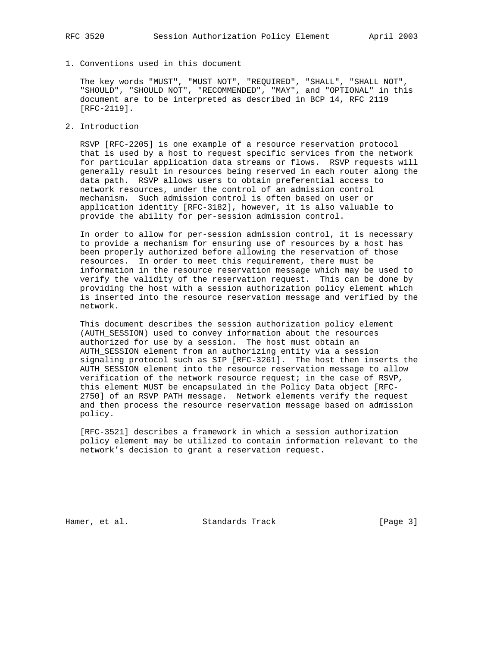1. Conventions used in this document

 The key words "MUST", "MUST NOT", "REQUIRED", "SHALL", "SHALL NOT", "SHOULD", "SHOULD NOT", "RECOMMENDED", "MAY", and "OPTIONAL" in this document are to be interpreted as described in BCP 14, RFC 2119 [RFC-2119].

2. Introduction

 RSVP [RFC-2205] is one example of a resource reservation protocol that is used by a host to request specific services from the network for particular application data streams or flows. RSVP requests will generally result in resources being reserved in each router along the data path. RSVP allows users to obtain preferential access to network resources, under the control of an admission control mechanism. Such admission control is often based on user or application identity [RFC-3182], however, it is also valuable to provide the ability for per-session admission control.

 In order to allow for per-session admission control, it is necessary to provide a mechanism for ensuring use of resources by a host has been properly authorized before allowing the reservation of those resources. In order to meet this requirement, there must be information in the resource reservation message which may be used to verify the validity of the reservation request. This can be done by providing the host with a session authorization policy element which is inserted into the resource reservation message and verified by the network.

 This document describes the session authorization policy element (AUTH\_SESSION) used to convey information about the resources authorized for use by a session. The host must obtain an AUTH\_SESSION element from an authorizing entity via a session signaling protocol such as SIP [RFC-3261]. The host then inserts the AUTH\_SESSION element into the resource reservation message to allow verification of the network resource request; in the case of RSVP, this element MUST be encapsulated in the Policy Data object [RFC- 2750] of an RSVP PATH message. Network elements verify the request and then process the resource reservation message based on admission policy.

 [RFC-3521] describes a framework in which a session authorization policy element may be utilized to contain information relevant to the network's decision to grant a reservation request.

Hamer, et al. Standards Track [Page 3]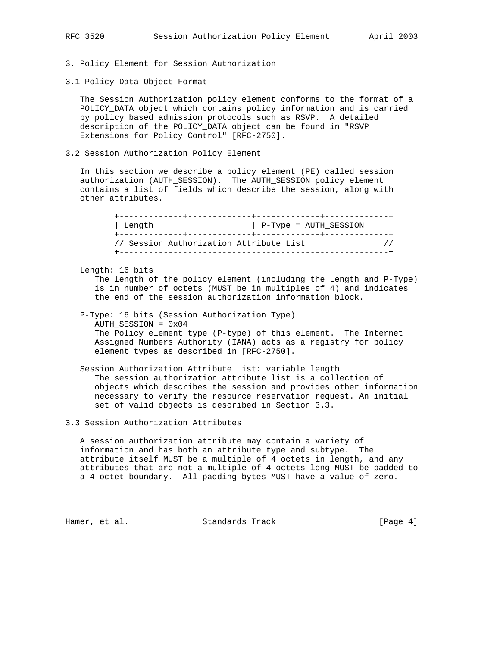3. Policy Element for Session Authorization

3.1 Policy Data Object Format

 The Session Authorization policy element conforms to the format of a POLICY\_DATA object which contains policy information and is carried by policy based admission protocols such as RSVP. A detailed description of the POLICY\_DATA object can be found in "RSVP Extensions for Policy Control" [RFC-2750].

3.2 Session Authorization Policy Element

 In this section we describe a policy element (PE) called session authorization (AUTH\_SESSION). The AUTH\_SESSION policy element contains a list of fields which describe the session, along with other attributes.

| Length | P-Type = AUTH SESSION                                    |  |
|--------|----------------------------------------------------------|--|
|        | -------------<br>// Session Authorization Attribute List |  |

Length: 16 bits

 The length of the policy element (including the Length and P-Type) is in number of octets (MUST be in multiples of 4) and indicates the end of the session authorization information block.

 P-Type: 16 bits (Session Authorization Type) AUTH\_SESSION = 0x04 The Policy element type (P-type) of this element. The Internet Assigned Numbers Authority (IANA) acts as a registry for policy element types as described in [RFC-2750].

 Session Authorization Attribute List: variable length The session authorization attribute list is a collection of objects which describes the session and provides other information necessary to verify the resource reservation request. An initial set of valid objects is described in Section 3.3.

3.3 Session Authorization Attributes

 A session authorization attribute may contain a variety of information and has both an attribute type and subtype. The attribute itself MUST be a multiple of 4 octets in length, and any attributes that are not a multiple of 4 octets long MUST be padded to a 4-octet boundary. All padding bytes MUST have a value of zero.

Hamer, et al. Standards Track [Page 4]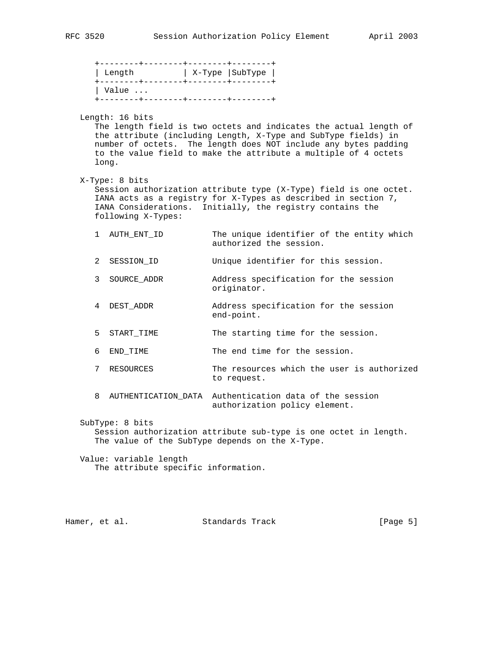|   |                                                                      | X-Type   SubType                                                                                                                                                                                                                                                          |  |
|---|----------------------------------------------------------------------|---------------------------------------------------------------------------------------------------------------------------------------------------------------------------------------------------------------------------------------------------------------------------|--|
|   | $\vert$ Value $\ldots$<br>.<br>+--------+--------+--------+--------+ |                                                                                                                                                                                                                                                                           |  |
|   | Length: 16 bits<br>long.                                             | The length field is two octets and indicates the actual length of<br>the attribute (including Length, X-Type and SubType fields) in<br>number of octets. The length does NOT include any bytes padding<br>to the value field to make the attribute a multiple of 4 octets |  |
|   | X-Type: 8 bits<br>following X-Types:                                 | Session authorization attribute type (X-Type) field is one octet.<br>IANA acts as a registry for X-Types as described in section 7,<br>IANA Considerations. Initially, the registry contains the                                                                          |  |
|   | 1 AUTH_ENT_ID                                                        | The unique identifier of the entity which<br>authorized the session.                                                                                                                                                                                                      |  |
| 2 | SESSION_ID                                                           | Unique identifier for this session.                                                                                                                                                                                                                                       |  |
| 3 | SOURCE ADDR                                                          | Address specification for the session<br>originator.                                                                                                                                                                                                                      |  |
|   | 4 DEST_ADDR                                                          | Address specification for the session<br>end-point.                                                                                                                                                                                                                       |  |
| 5 | START_TIME                                                           | The starting time for the session.                                                                                                                                                                                                                                        |  |
| 6 | END_TIME                                                             | The end time for the session.                                                                                                                                                                                                                                             |  |
| 7 | RESOURCES                                                            | The resources which the user is authorized<br>to request.                                                                                                                                                                                                                 |  |
| 8 | AUTHENTICATION DATA                                                  | Authentication data of the session<br>authorization policy element.                                                                                                                                                                                                       |  |
|   | SubType: 8 bits                                                      | Session authorization attribute sub-type is one octet in length.<br>The value of the SubType depends on the X-Type.                                                                                                                                                       |  |
|   | Value: variable length<br>The attribute specific information.        |                                                                                                                                                                                                                                                                           |  |

Hamer, et al. Standards Track [Page 5]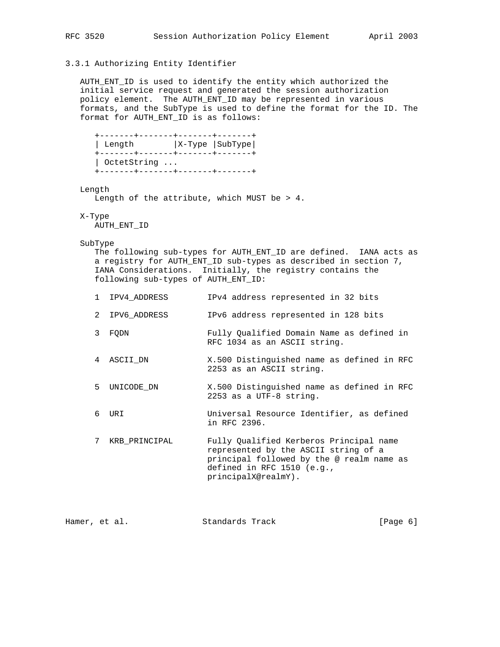## 3.3.1 Authorizing Entity Identifier

 AUTH\_ENT\_ID is used to identify the entity which authorized the initial service request and generated the session authorization policy element. The AUTH\_ENT\_ID may be represented in various formats, and the SubType is used to define the format for the ID. The format for AUTH\_ENT\_ID is as follows:

```
 +-------+-------+-------+-------+
 | Length |X-Type |SubType|
 +-------+-------+-------+-------+
 | OctetString ...
 +-------+-------+-------+-------+
```
Length

Length of the attribute, which MUST be > 4.

## X-Type

AUTH\_ENT\_ID

#### SubType

 The following sub-types for AUTH\_ENT\_ID are defined. IANA acts as a registry for AUTH\_ENT\_ID sub-types as described in section 7, IANA Considerations. Initially, the registry contains the following sub-types of AUTH\_ENT\_ID:

|  | 1 IPV4 ADDRESS | IPv4 address represented in 32 bits                                       |
|--|----------------|---------------------------------------------------------------------------|
|  | 2 IPV6 ADDRESS | IPv6 address represented in 128 bits                                      |
|  | 3 FODN         | Fully Oualified Domain Name as defined in<br>RFC 1034 as an ASCII string. |
|  | 4 ASCII DN     | X.500 Distinguished name as defined in RFC<br>2253 as an ASCII string.    |

- 5 UNICODE\_DN X.500 Distinguished name as defined in RFC 2253 as a UTF-8 string.
- 6 URI Universal Resource Identifier, as defined in RFC 2396.

 7 KRB\_PRINCIPAL Fully Qualified Kerberos Principal name represented by the ASCII string of a principal followed by the @ realm name as defined in RFC 1510 (e.g., principalX@realmY).

Hamer, et al. Standards Track [Page 6]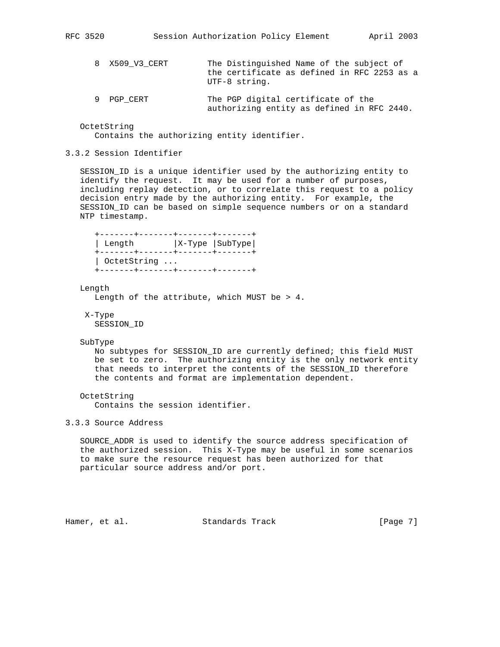UTF-8 string.

- 8 X509\_V3\_CERT The Distinguished Name of the subject of the certificate as defined in RFC 2253 as a
- 9 PGP\_CERT The PGP digital certificate of the authorizing entity as defined in RFC 2440.

 OctetString Contains the authorizing entity identifier.

### 3.3.2 Session Identifier

 SESSION\_ID is a unique identifier used by the authorizing entity to identify the request. It may be used for a number of purposes, including replay detection, or to correlate this request to a policy decision entry made by the authorizing entity. For example, the SESSION\_ID can be based on simple sequence numbers or on a standard NTP timestamp.

```
 +-------+-------+-------+-------+
| Length |X-Type |SubType |
 +-------+-------+-------+-------+
 | OctetString ...
 +-------+-------+-------+-------+
```
#### Length

Length of the attribute, which MUST be > 4.

 X-Type SESSION\_ID

#### SubType

 No subtypes for SESSION\_ID are currently defined; this field MUST be set to zero. The authorizing entity is the only network entity that needs to interpret the contents of the SESSION\_ID therefore the contents and format are implementation dependent.

```
 OctetString
   Contains the session identifier.
```
3.3.3 Source Address

 SOURCE\_ADDR is used to identify the source address specification of the authorized session. This X-Type may be useful in some scenarios to make sure the resource request has been authorized for that particular source address and/or port.

```
Hamer, et al. Standards Track [Page 7]
```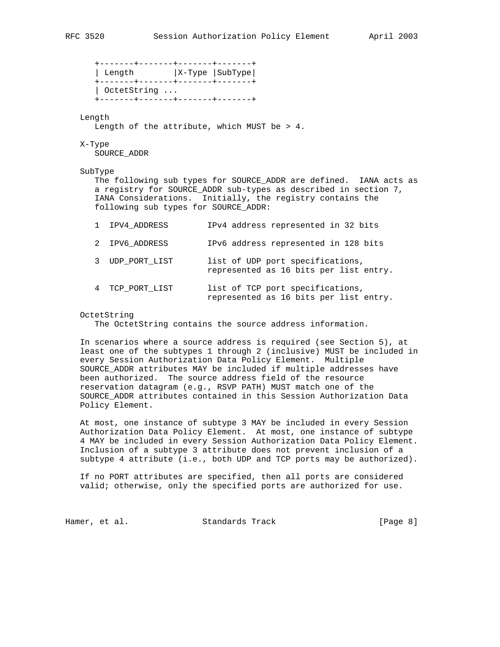+-------+-------+-------+-------+ | Length |X-Type |SubType| +-------+-------+-------+-------+ | OctetString ... +-------+-------+-------+-------+

### Length

Length of the attribute, which MUST be > 4.

#### X-Type

SOURCE\_ADDR

#### SubType

 The following sub types for SOURCE\_ADDR are defined. IANA acts as a registry for SOURCE\_ADDR sub-types as described in section 7, IANA Considerations. Initially, the registry contains the following sub types for SOURCE\_ADDR:

|  | 1 IPV4 ADDRESS | IPv4 address represented in 32 bits |  |  |  |  |
|--|----------------|-------------------------------------|--|--|--|--|
|--|----------------|-------------------------------------|--|--|--|--|

- 2 IPV6\_ADDRESS IPv6 address represented in 128 bits
- 3 UDP\_PORT\_LIST list of UDP port specifications, represented as 16 bits per list entry.
- 4 TCP\_PORT\_LIST list of TCP port specifications, represented as 16 bits per list entry.

#### OctetString

The OctetString contains the source address information.

 In scenarios where a source address is required (see Section 5), at least one of the subtypes 1 through 2 (inclusive) MUST be included in every Session Authorization Data Policy Element. Multiple SOURCE\_ADDR attributes MAY be included if multiple addresses have been authorized. The source address field of the resource reservation datagram (e.g., RSVP PATH) MUST match one of the SOURCE\_ADDR attributes contained in this Session Authorization Data Policy Element.

 At most, one instance of subtype 3 MAY be included in every Session Authorization Data Policy Element. At most, one instance of subtype 4 MAY be included in every Session Authorization Data Policy Element. Inclusion of a subtype 3 attribute does not prevent inclusion of a subtype 4 attribute (i.e., both UDP and TCP ports may be authorized).

 If no PORT attributes are specified, then all ports are considered valid; otherwise, only the specified ports are authorized for use.

Hamer, et al. Standards Track [Page 8]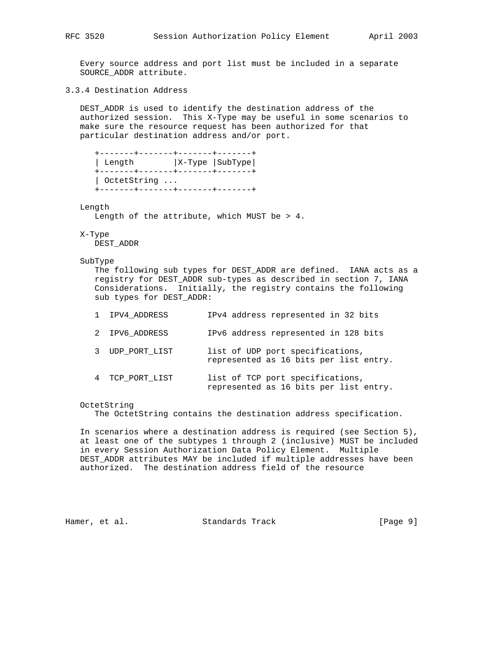Every source address and port list must be included in a separate SOURCE\_ADDR attribute.

3.3.4 Destination Address

 DEST\_ADDR is used to identify the destination address of the authorized session. This X-Type may be useful in some scenarios to make sure the resource request has been authorized for that particular destination address and/or port.

 +-------+-------+-------+-------+ | Length |X-Type |SubType| +-------+-------+-------+-------+ | OctetString ... +-------+-------+-------+-------+

#### Length

Length of the attribute, which MUST be > 4.

#### X-Type

DEST\_ADDR

#### SubType

 The following sub types for DEST\_ADDR are defined. IANA acts as a registry for DEST\_ADDR sub-types as described in section 7, IANA Considerations. Initially, the registry contains the following sub types for DEST\_ADDR:

| 1 IPV4 ADDRESS     | IPv4 address represented in 32 bits                                        |
|--------------------|----------------------------------------------------------------------------|
| 2 IPV6 ADDRESS     | IPv6 address represented in 128 bits                                       |
| UDP PORT LIST<br>3 | list of UDP port specifications,<br>represented as 16 bits per list entry. |
| 4 TCP PORT LIST    | list of TCP port specifications,<br>represented as 16 bits per list entry. |

### OctetString

The OctetString contains the destination address specification.

 In scenarios where a destination address is required (see Section 5), at least one of the subtypes 1 through 2 (inclusive) MUST be included in every Session Authorization Data Policy Element. Multiple DEST\_ADDR attributes MAY be included if multiple addresses have been authorized. The destination address field of the resource

Hamer, et al. Standards Track [Page 9]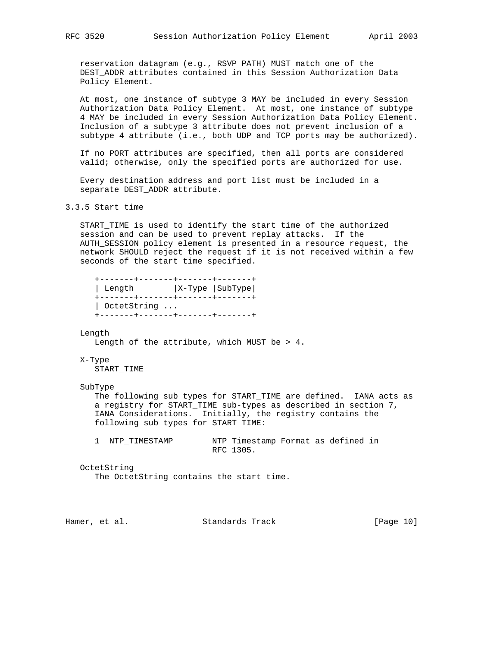reservation datagram (e.g., RSVP PATH) MUST match one of the DEST\_ADDR attributes contained in this Session Authorization Data Policy Element.

 At most, one instance of subtype 3 MAY be included in every Session Authorization Data Policy Element. At most, one instance of subtype 4 MAY be included in every Session Authorization Data Policy Element. Inclusion of a subtype 3 attribute does not prevent inclusion of a subtype 4 attribute (i.e., both UDP and TCP ports may be authorized).

 If no PORT attributes are specified, then all ports are considered valid; otherwise, only the specified ports are authorized for use.

 Every destination address and port list must be included in a separate DEST\_ADDR attribute.

3.3.5 Start time

 START\_TIME is used to identify the start time of the authorized session and can be used to prevent replay attacks. If the AUTH\_SESSION policy element is presented in a resource request, the network SHOULD reject the request if it is not received within a few seconds of the start time specified.

 +-------+-------+-------+-------+ | Length |X-Type |SubType| +-------+-------+-------+-------+ | OctetString ... +-------+-------+-------+-------+

#### Length

Length of the attribute, which MUST be > 4.

### X-Type

START\_TIME

#### SubType

 The following sub types for START\_TIME are defined. IANA acts as a registry for START\_TIME sub-types as described in section 7, IANA Considerations. Initially, the registry contains the following sub types for START\_TIME:

 1 NTP\_TIMESTAMP NTP Timestamp Format as defined in RFC 1305.

#### OctetString

The OctetString contains the start time.

| Hamer, et al. | Standards Track | [Page 10] |  |
|---------------|-----------------|-----------|--|
|               |                 |           |  |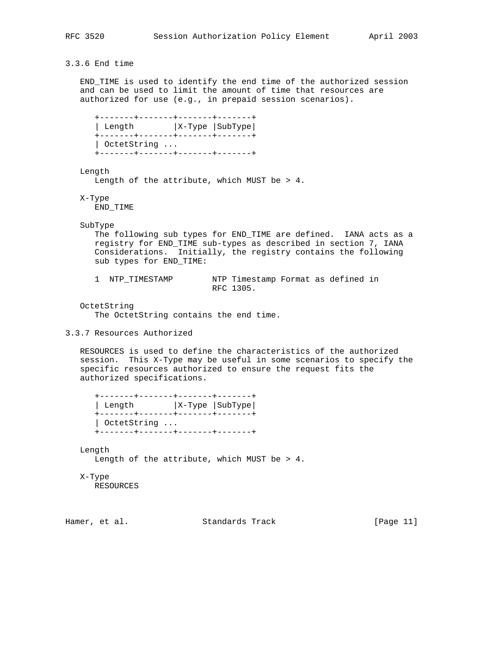## 3.3.6 End time

 END\_TIME is used to identify the end time of the authorized session and can be used to limit the amount of time that resources are authorized for use (e.g., in prepaid session scenarios).

 +-------+-------+-------+-------+ | Length |X-Type |SubType| +-------+-------+-------+-------+ | OctetString ... +-------+-------+-------+-------+

Length

Length of the attribute, which MUST be > 4.

X-Type

END\_TIME

SubType

 The following sub types for END\_TIME are defined. IANA acts as a registry for END\_TIME sub-types as described in section 7, IANA Considerations. Initially, the registry contains the following sub types for END\_TIME:

| 1 NTP TIMESTAMP | NTP Timestamp Format as defined in |  |  |
|-----------------|------------------------------------|--|--|
|                 | RFC 1305.                          |  |  |

OctetString

The OctetString contains the end time.

 RESOURCES is used to define the characteristics of the authorized session. This X-Type may be useful in some scenarios to specify the specific resources authorized to ensure the request fits the authorized specifications.

| Length |                     |  | $ X-Type SubType $ |  |
|--------|---------------------|--|--------------------|--|
|        | $\vert$ OctetString |  |                    |  |

Length

Length of the attribute, which MUST be > 4.

X-Type

RESOURCES

Hamer, et al. Standards Track [Page 11]

<sup>3.3.7</sup> Resources Authorized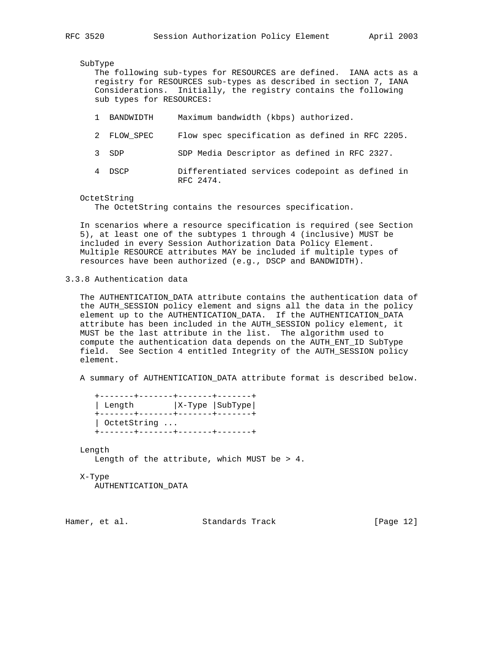SubType

 The following sub-types for RESOURCES are defined. IANA acts as a registry for RESOURCES sub-types as described in section 7, IANA Considerations. Initially, the registry contains the following sub types for RESOURCES:

- 1 BANDWIDTH Maximum bandwidth (kbps) authorized.
- 2 FLOW\_SPEC Flow spec specification as defined in RFC 2205.
- 3 SDP SDP Media Descriptor as defined in RFC 2327.
- 4 DSCP Differentiated services codepoint as defined in RFC 2474.

#### OctetString

The OctetString contains the resources specification.

 In scenarios where a resource specification is required (see Section 5), at least one of the subtypes 1 through 4 (inclusive) MUST be included in every Session Authorization Data Policy Element. Multiple RESOURCE attributes MAY be included if multiple types of resources have been authorized (e.g., DSCP and BANDWIDTH).

3.3.8 Authentication data

 The AUTHENTICATION\_DATA attribute contains the authentication data of the AUTH\_SESSION policy element and signs all the data in the policy element up to the AUTHENTICATION\_DATA. If the AUTHENTICATION\_DATA attribute has been included in the AUTH\_SESSION policy element, it MUST be the last attribute in the list. The algorithm used to compute the authentication data depends on the AUTH\_ENT\_ID SubType field. See Section 4 entitled Integrity of the AUTH\_SESSION policy element.

A summary of AUTHENTICATION\_DATA attribute format is described below.

 +-------+-------+-------+-------+ | Length |X-Type |SubType| +-------+-------+-------+-------+ | OctetString ... +-------+-------+-------+-------+

### Length

Length of the attribute, which MUST be > 4.

#### X-Type

AUTHENTICATION\_DATA

Hamer, et al. Standards Track [Page 12]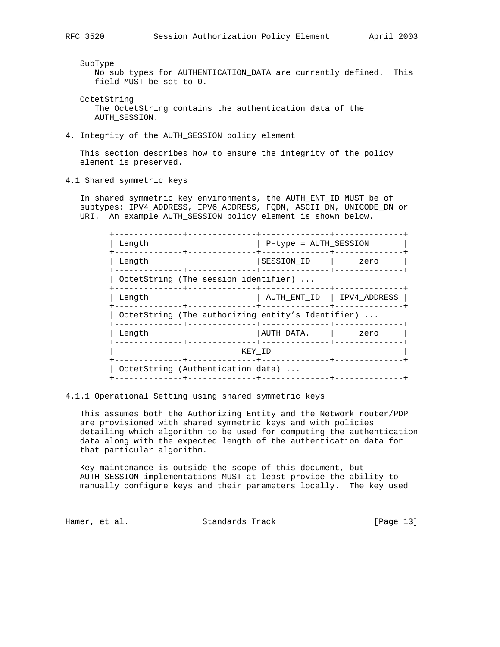SubType

 No sub types for AUTHENTICATION\_DATA are currently defined. This field MUST be set to 0.

- OctetString The OctetString contains the authentication data of the AUTH\_SESSION.
- 4. Integrity of the AUTH\_SESSION policy element

 This section describes how to ensure the integrity of the policy element is preserved.

4.1 Shared symmetric keys

 In shared symmetric key environments, the AUTH\_ENT\_ID MUST be of subtypes: IPV4\_ADDRESS, IPV6\_ADDRESS, FQDN, ASCII\_DN, UNICODE\_DN or URI. An example AUTH\_SESSION policy element is shown below.

| Length                                            | P-type = AUTH SESSION      |      |
|---------------------------------------------------|----------------------------|------|
| Length                                            | SESSION_ID                 | zero |
| OctetString (The session identifier)              |                            |      |
| Length                                            | AUTH ENT ID   IPV4 ADDRESS |      |
| OctetString (The authorizing entity's Identifier) |                            |      |
| Length                                            | AUTH DATA.                 | zero |
| KEY ID                                            |                            |      |
| OctetString (Authentication data)                 |                            |      |
|                                                   |                            |      |

4.1.1 Operational Setting using shared symmetric keys

 This assumes both the Authorizing Entity and the Network router/PDP are provisioned with shared symmetric keys and with policies detailing which algorithm to be used for computing the authentication data along with the expected length of the authentication data for that particular algorithm.

 Key maintenance is outside the scope of this document, but AUTH\_SESSION implementations MUST at least provide the ability to manually configure keys and their parameters locally. The key used

Hamer, et al. Standards Track [Page 13]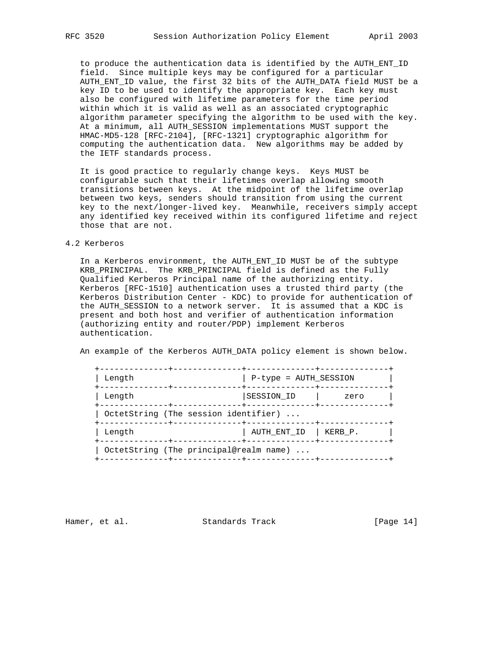to produce the authentication data is identified by the AUTH\_ENT\_ID field. Since multiple keys may be configured for a particular AUTH\_ENT\_ID value, the first 32 bits of the AUTH\_DATA field MUST be a key ID to be used to identify the appropriate key. Each key must also be configured with lifetime parameters for the time period within which it is valid as well as an associated cryptographic algorithm parameter specifying the algorithm to be used with the key. At a minimum, all AUTH\_SESSION implementations MUST support the HMAC-MD5-128 [RFC-2104], [RFC-1321] cryptographic algorithm for computing the authentication data. New algorithms may be added by the IETF standards process.

 It is good practice to regularly change keys. Keys MUST be configurable such that their lifetimes overlap allowing smooth transitions between keys. At the midpoint of the lifetime overlap between two keys, senders should transition from using the current key to the next/longer-lived key. Meanwhile, receivers simply accept any identified key received within its configured lifetime and reject those that are not.

#### 4.2 Kerberos

 In a Kerberos environment, the AUTH\_ENT\_ID MUST be of the subtype KRB\_PRINCIPAL. The KRB\_PRINCIPAL field is defined as the Fully Qualified Kerberos Principal name of the authorizing entity. Kerberos [RFC-1510] authentication uses a trusted third party (the Kerberos Distribution Center - KDC) to provide for authentication of the AUTH\_SESSION to a network server. It is assumed that a KDC is present and both host and verifier of authentication information (authorizing entity and router/PDP) implement Kerberos authentication.

An example of the Kerberos AUTH\_DATA policy element is shown below.

| SESSION ID                                             | zero                                                            |  |  |
|--------------------------------------------------------|-----------------------------------------------------------------|--|--|
| OctetString (The session identifier)<br>-------+------ |                                                                 |  |  |
| AUTH ENT ID                                            | KERB P.                                                         |  |  |
|                                                        |                                                                 |  |  |
|                                                        | P-type = AUTH SESSION<br>OctetString (The principal@realm name) |  |  |

Hamer, et al. Standards Track [Page 14]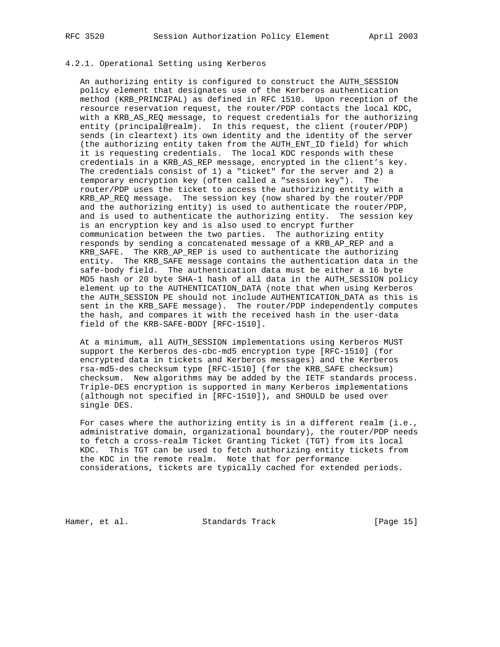## 4.2.1. Operational Setting using Kerberos

 An authorizing entity is configured to construct the AUTH\_SESSION policy element that designates use of the Kerberos authentication method (KRB\_PRINCIPAL) as defined in RFC 1510. Upon reception of the resource reservation request, the router/PDP contacts the local KDC, with a KRB\_AS\_REQ message, to request credentials for the authorizing entity (principal@realm). In this request, the client (router/PDP) sends (in cleartext) its own identity and the identity of the server (the authorizing entity taken from the AUTH\_ENT\_ID field) for which it is requesting credentials. The local KDC responds with these credentials in a KRB\_AS\_REP message, encrypted in the client's key. The credentials consist of 1) a "ticket" for the server and 2) a temporary encryption key (often called a "session key"). The router/PDP uses the ticket to access the authorizing entity with a KRB\_AP\_REQ message. The session key (now shared by the router/PDP and the authorizing entity) is used to authenticate the router/PDP, and is used to authenticate the authorizing entity. The session key is an encryption key and is also used to encrypt further communication between the two parties. The authorizing entity responds by sending a concatenated message of a KRB\_AP\_REP and a KRB\_SAFE. The KRB\_AP\_REP is used to authenticate the authorizing entity. The KRB\_SAFE message contains the authentication data in the safe-body field. The authentication data must be either a 16 byte MD5 hash or 20 byte SHA-1 hash of all data in the AUTH\_SESSION policy element up to the AUTHENTICATION\_DATA (note that when using Kerberos the AUTH\_SESSION PE should not include AUTHENTICATION\_DATA as this is sent in the KRB\_SAFE message). The router/PDP independently computes the hash, and compares it with the received hash in the user-data field of the KRB-SAFE-BODY [RFC-1510].

 At a minimum, all AUTH\_SESSION implementations using Kerberos MUST support the Kerberos des-cbc-md5 encryption type [RFC-1510] (for encrypted data in tickets and Kerberos messages) and the Kerberos rsa-md5-des checksum type [RFC-1510] (for the KRB\_SAFE checksum) checksum. New algorithms may be added by the IETF standards process. Triple-DES encryption is supported in many Kerberos implementations (although not specified in [RFC-1510]), and SHOULD be used over single DES.

For cases where the authorizing entity is in a different realm (i.e., administrative domain, organizational boundary), the router/PDP needs to fetch a cross-realm Ticket Granting Ticket (TGT) from its local KDC. This TGT can be used to fetch authorizing entity tickets from the KDC in the remote realm. Note that for performance considerations, tickets are typically cached for extended periods.

Hamer, et al. Standards Track [Page 15]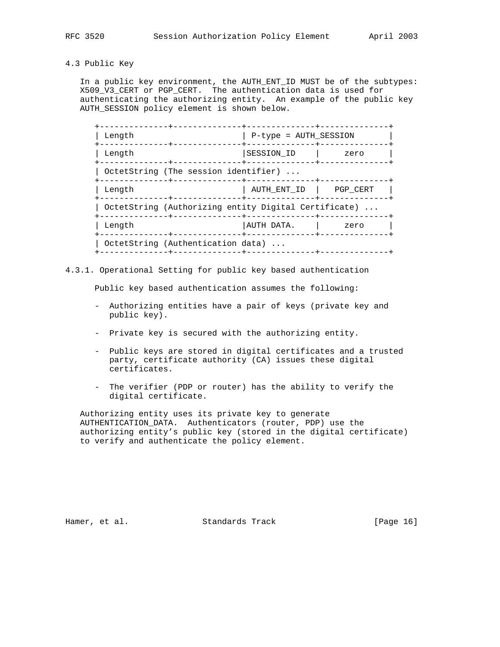### 4.3 Public Key

 In a public key environment, the AUTH\_ENT\_ID MUST be of the subtypes: X509\_V3\_CERT or PGP\_CERT. The authentication data is used for authenticating the authorizing entity. An example of the public key AUTH\_SESSION policy element is shown below.

| Length                                               | P-type = AUTH SESSION |          |  |
|------------------------------------------------------|-----------------------|----------|--|
| Length                                               | SESSION ID            | zero     |  |
| OctetString (The session identifier)                 |                       |          |  |
| Length                                               | AUTH ENT ID           | PGP CERT |  |
| OctetString (Authorizing entity Digital Certificate) |                       |          |  |
| Length                                               | AUTH DATA.            | zero     |  |
| OctetString (Authentication data)                    |                       |          |  |

4.3.1. Operational Setting for public key based authentication

Public key based authentication assumes the following:

- Authorizing entities have a pair of keys (private key and public key).
- Private key is secured with the authorizing entity.
- Public keys are stored in digital certificates and a trusted party, certificate authority (CA) issues these digital certificates.
- The verifier (PDP or router) has the ability to verify the digital certificate.

 Authorizing entity uses its private key to generate AUTHENTICATION\_DATA. Authenticators (router, PDP) use the authorizing entity's public key (stored in the digital certificate) to verify and authenticate the policy element.

Hamer, et al. Standards Track [Page 16]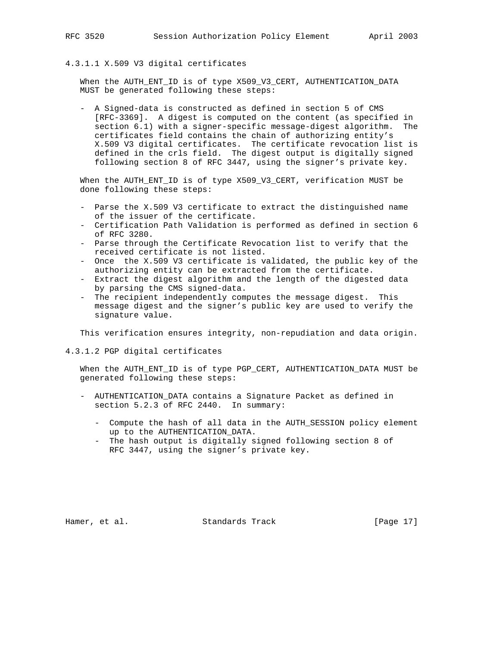## 4.3.1.1 X.509 V3 digital certificates

 When the AUTH\_ENT\_ID is of type X509\_V3\_CERT, AUTHENTICATION\_DATA MUST be generated following these steps:

 - A Signed-data is constructed as defined in section 5 of CMS [RFC-3369]. A digest is computed on the content (as specified in section 6.1) with a signer-specific message-digest algorithm. The certificates field contains the chain of authorizing entity's X.509 V3 digital certificates. The certificate revocation list is defined in the crls field. The digest output is digitally signed following section 8 of RFC 3447, using the signer's private key.

 When the AUTH\_ENT\_ID is of type X509\_V3\_CERT, verification MUST be done following these steps:

- Parse the X.509 V3 certificate to extract the distinguished name of the issuer of the certificate.
- Certification Path Validation is performed as defined in section 6 of RFC 3280.
- Parse through the Certificate Revocation list to verify that the received certificate is not listed.
- Once the X.509 V3 certificate is validated, the public key of the authorizing entity can be extracted from the certificate.
- Extract the digest algorithm and the length of the digested data by parsing the CMS signed-data.
- The recipient independently computes the message digest. This message digest and the signer's public key are used to verify the signature value.

This verification ensures integrity, non-repudiation and data origin.

4.3.1.2 PGP digital certificates

 When the AUTH\_ENT\_ID is of type PGP\_CERT, AUTHENTICATION\_DATA MUST be generated following these steps:

- AUTHENTICATION\_DATA contains a Signature Packet as defined in section 5.2.3 of RFC 2440. In summary:
	- Compute the hash of all data in the AUTH\_SESSION policy element up to the AUTHENTICATION\_DATA.
	- The hash output is digitally signed following section 8 of RFC 3447, using the signer's private key.

Hamer, et al. Standards Track [Page 17]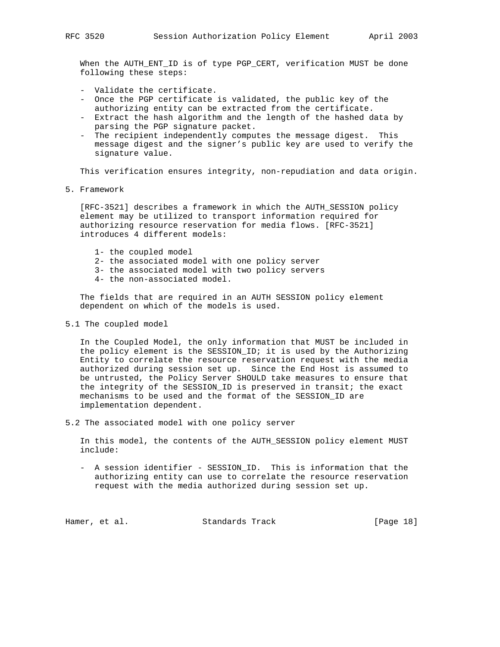When the AUTH\_ENT\_ID is of type PGP\_CERT, verification MUST be done following these steps:

- Validate the certificate.
- Once the PGP certificate is validated, the public key of the authorizing entity can be extracted from the certificate.
- Extract the hash algorithm and the length of the hashed data by parsing the PGP signature packet.
- The recipient independently computes the message digest. This message digest and the signer's public key are used to verify the signature value.

This verification ensures integrity, non-repudiation and data origin.

5. Framework

 [RFC-3521] describes a framework in which the AUTH\_SESSION policy element may be utilized to transport information required for authorizing resource reservation for media flows. [RFC-3521] introduces 4 different models:

- 1- the coupled model
- 2- the associated model with one policy server
- 3- the associated model with two policy servers
- 4- the non-associated model.

 The fields that are required in an AUTH SESSION policy element dependent on which of the models is used.

5.1 The coupled model

 In the Coupled Model, the only information that MUST be included in the policy element is the SESSION\_ID; it is used by the Authorizing Entity to correlate the resource reservation request with the media authorized during session set up. Since the End Host is assumed to be untrusted, the Policy Server SHOULD take measures to ensure that the integrity of the SESSION\_ID is preserved in transit; the exact mechanisms to be used and the format of the SESSION\_ID are implementation dependent.

5.2 The associated model with one policy server

 In this model, the contents of the AUTH\_SESSION policy element MUST include:

 - A session identifier - SESSION\_ID. This is information that the authorizing entity can use to correlate the resource reservation request with the media authorized during session set up.

Hamer, et al. Standards Track [Page 18]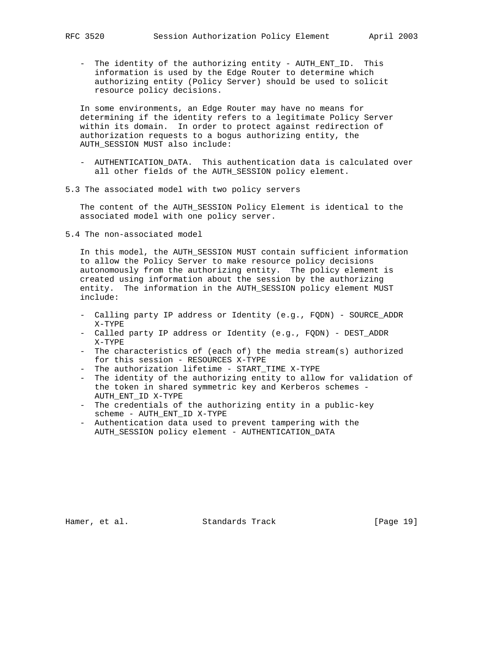- The identity of the authorizing entity - AUTH\_ENT\_ID. This information is used by the Edge Router to determine which authorizing entity (Policy Server) should be used to solicit resource policy decisions.

 In some environments, an Edge Router may have no means for determining if the identity refers to a legitimate Policy Server within its domain. In order to protect against redirection of authorization requests to a bogus authorizing entity, the AUTH SESSION MUST also include:

- AUTHENTICATION\_DATA. This authentication data is calculated over all other fields of the AUTH SESSION policy element.
- 5.3 The associated model with two policy servers

 The content of the AUTH\_SESSION Policy Element is identical to the associated model with one policy server.

5.4 The non-associated model

 In this model, the AUTH\_SESSION MUST contain sufficient information to allow the Policy Server to make resource policy decisions autonomously from the authorizing entity. The policy element is created using information about the session by the authorizing entity. The information in the AUTH\_SESSION policy element MUST include:

- Calling party IP address or Identity (e.g., FQDN) SOURCE\_ADDR X-TYPE
- Called party IP address or Identity (e.g., FQDN) DEST\_ADDR X-TYPE
- The characteristics of (each of) the media stream(s) authorized for this session - RESOURCES X-TYPE
- The authorization lifetime START\_TIME X-TYPE
- The identity of the authorizing entity to allow for validation of the token in shared symmetric key and Kerberos schemes - AUTH\_ENT\_ID X-TYPE
- The credentials of the authorizing entity in a public-key scheme - AUTH\_ENT\_ID X-TYPE
- Authentication data used to prevent tampering with the AUTH\_SESSION policy element - AUTHENTICATION\_DATA

Hamer, et al. Standards Track [Page 19]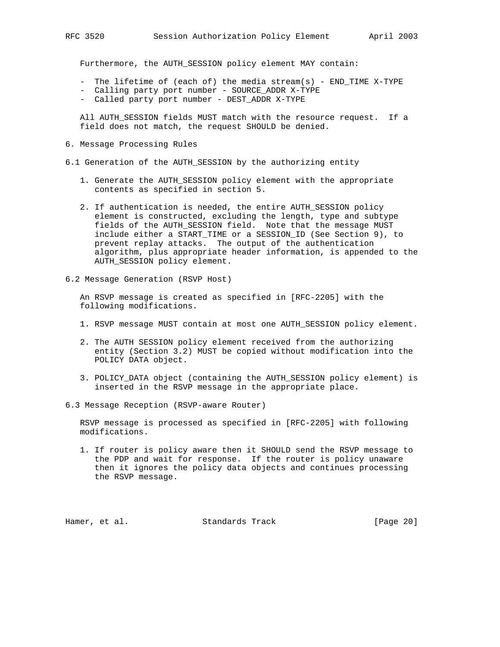Furthermore, the AUTH\_SESSION policy element MAY contain:

- The lifetime of (each of) the media stream(s) END\_TIME X-TYPE
- Calling party port number SOURCE\_ADDR X-TYPE
- Called party port number DEST\_ADDR X-TYPE

 All AUTH\_SESSION fields MUST match with the resource request. If a field does not match, the request SHOULD be denied.

6. Message Processing Rules

6.1 Generation of the AUTH\_SESSION by the authorizing entity

- 1. Generate the AUTH\_SESSION policy element with the appropriate contents as specified in section 5.
- 2. If authentication is needed, the entire AUTH\_SESSION policy element is constructed, excluding the length, type and subtype fields of the AUTH\_SESSION field. Note that the message MUST include either a START\_TIME or a SESSION\_ID (See Section 9), to prevent replay attacks. The output of the authentication algorithm, plus appropriate header information, is appended to the AUTH\_SESSION policy element.
- 6.2 Message Generation (RSVP Host)

 An RSVP message is created as specified in [RFC-2205] with the following modifications.

- 1. RSVP message MUST contain at most one AUTH\_SESSION policy element.
- 2. The AUTH SESSION policy element received from the authorizing entity (Section 3.2) MUST be copied without modification into the POLICY DATA object.
- 3. POLICY\_DATA object (containing the AUTH\_SESSION policy element) is inserted in the RSVP message in the appropriate place.
- 6.3 Message Reception (RSVP-aware Router)

 RSVP message is processed as specified in [RFC-2205] with following modifications.

 1. If router is policy aware then it SHOULD send the RSVP message to the PDP and wait for response. If the router is policy unaware then it ignores the policy data objects and continues processing the RSVP message.

Hamer, et al. Standards Track [Page 20]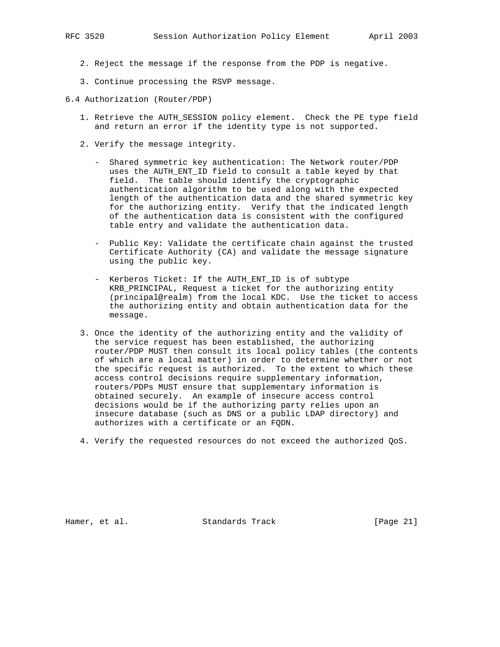- 2. Reject the message if the response from the PDP is negative.
- 3. Continue processing the RSVP message.

6.4 Authorization (Router/PDP)

- 1. Retrieve the AUTH\_SESSION policy element. Check the PE type field and return an error if the identity type is not supported.
- 2. Verify the message integrity.
	- Shared symmetric key authentication: The Network router/PDP uses the AUTH\_ENT\_ID field to consult a table keyed by that field. The table should identify the cryptographic authentication algorithm to be used along with the expected length of the authentication data and the shared symmetric key for the authorizing entity. Verify that the indicated length of the authentication data is consistent with the configured table entry and validate the authentication data.
	- Public Key: Validate the certificate chain against the trusted Certificate Authority (CA) and validate the message signature using the public key.
	- Kerberos Ticket: If the AUTH\_ENT\_ID is of subtype KRB\_PRINCIPAL, Request a ticket for the authorizing entity (principal@realm) from the local KDC. Use the ticket to access the authorizing entity and obtain authentication data for the message.
- 3. Once the identity of the authorizing entity and the validity of the service request has been established, the authorizing router/PDP MUST then consult its local policy tables (the contents of which are a local matter) in order to determine whether or not the specific request is authorized. To the extent to which these access control decisions require supplementary information, routers/PDPs MUST ensure that supplementary information is obtained securely. An example of insecure access control decisions would be if the authorizing party relies upon an insecure database (such as DNS or a public LDAP directory) and authorizes with a certificate or an FQDN.
- 4. Verify the requested resources do not exceed the authorized QoS.

Hamer, et al. Standards Track [Page 21]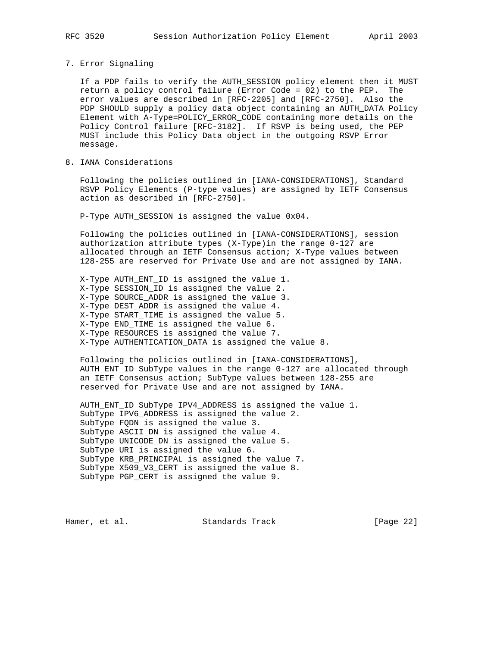### 7. Error Signaling

 If a PDP fails to verify the AUTH\_SESSION policy element then it MUST return a policy control failure (Error Code = 02) to the PEP. The error values are described in [RFC-2205] and [RFC-2750]. Also the PDP SHOULD supply a policy data object containing an AUTH\_DATA Policy Element with A-Type=POLICY\_ERROR\_CODE containing more details on the Policy Control failure [RFC-3182]. If RSVP is being used, the PEP MUST include this Policy Data object in the outgoing RSVP Error message.

8. IANA Considerations

 Following the policies outlined in [IANA-CONSIDERATIONS], Standard RSVP Policy Elements (P-type values) are assigned by IETF Consensus action as described in [RFC-2750].

P-Type AUTH\_SESSION is assigned the value 0x04.

 Following the policies outlined in [IANA-CONSIDERATIONS], session authorization attribute types (X-Type)in the range 0-127 are allocated through an IETF Consensus action; X-Type values between 128-255 are reserved for Private Use and are not assigned by IANA.

 X-Type AUTH\_ENT\_ID is assigned the value 1. X-Type SESSION\_ID is assigned the value 2. X-Type SOURCE\_ADDR is assigned the value 3. X-Type DEST\_ADDR is assigned the value 4. X-Type START\_TIME is assigned the value 5. X-Type END\_TIME is assigned the value 6. X-Type RESOURCES is assigned the value 7. X-Type AUTHENTICATION\_DATA is assigned the value 8.

 Following the policies outlined in [IANA-CONSIDERATIONS], AUTH\_ENT\_ID SubType values in the range 0-127 are allocated through an IETF Consensus action; SubType values between 128-255 are reserved for Private Use and are not assigned by IANA.

 AUTH\_ENT\_ID SubType IPV4\_ADDRESS is assigned the value 1. SubType IPV6\_ADDRESS is assigned the value 2. SubType FQDN is assigned the value 3. SubType ASCII\_DN is assigned the value 4. SubType UNICODE\_DN is assigned the value 5. SubType URI is assigned the value 6. SubType KRB\_PRINCIPAL is assigned the value 7. SubType X509\_V3\_CERT is assigned the value 8. SubType PGP\_CERT is assigned the value 9.

Hamer, et al. Standards Track [Page 22]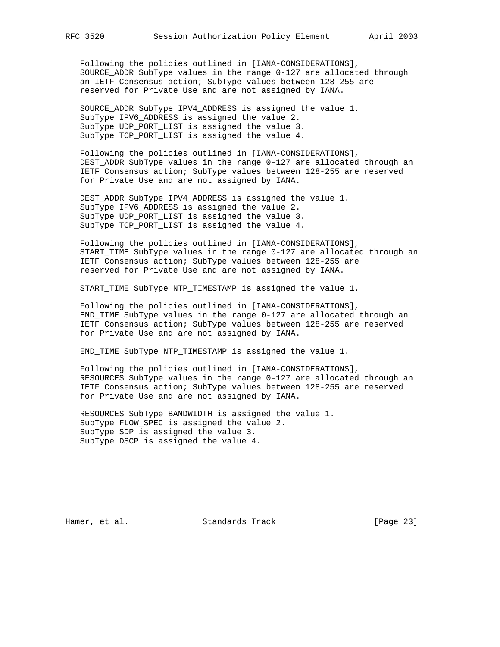Following the policies outlined in [IANA-CONSIDERATIONS], SOURCE\_ADDR SubType values in the range 0-127 are allocated through an IETF Consensus action; SubType values between 128-255 are reserved for Private Use and are not assigned by IANA.

 SOURCE\_ADDR SubType IPV4\_ADDRESS is assigned the value 1. SubType IPV6\_ADDRESS is assigned the value 2. SubType UDP\_PORT\_LIST is assigned the value 3. SubType TCP\_PORT\_LIST is assigned the value 4.

 Following the policies outlined in [IANA-CONSIDERATIONS], DEST\_ADDR SubType values in the range 0-127 are allocated through an IETF Consensus action; SubType values between 128-255 are reserved for Private Use and are not assigned by IANA.

 DEST\_ADDR SubType IPV4\_ADDRESS is assigned the value 1. SubType IPV6\_ADDRESS is assigned the value 2. SubType UDP\_PORT\_LIST is assigned the value 3. SubType TCP\_PORT\_LIST is assigned the value 4.

 Following the policies outlined in [IANA-CONSIDERATIONS], START\_TIME SubType values in the range 0-127 are allocated through an IETF Consensus action; SubType values between 128-255 are reserved for Private Use and are not assigned by IANA.

START\_TIME SubType NTP\_TIMESTAMP is assigned the value 1.

 Following the policies outlined in [IANA-CONSIDERATIONS], END\_TIME SubType values in the range 0-127 are allocated through an IETF Consensus action; SubType values between 128-255 are reserved for Private Use and are not assigned by IANA.

END\_TIME SubType NTP\_TIMESTAMP is assigned the value 1.

 Following the policies outlined in [IANA-CONSIDERATIONS], RESOURCES SubType values in the range 0-127 are allocated through an IETF Consensus action; SubType values between 128-255 are reserved for Private Use and are not assigned by IANA.

 RESOURCES SubType BANDWIDTH is assigned the value 1. SubType FLOW\_SPEC is assigned the value 2. SubType SDP is assigned the value 3. SubType DSCP is assigned the value 4.

Hamer, et al. Standards Track [Page 23]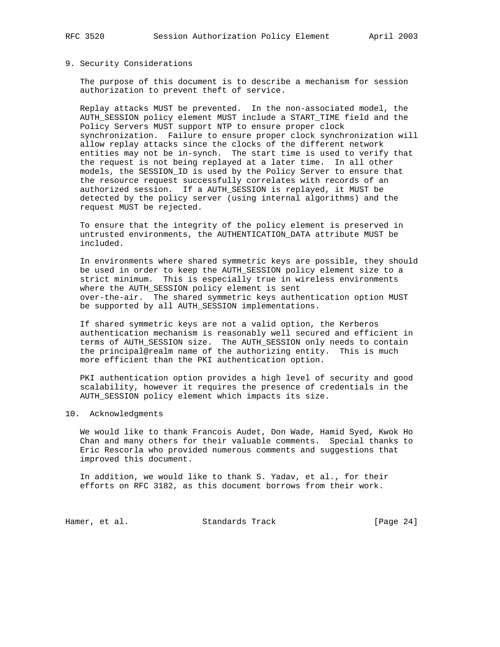### 9. Security Considerations

 The purpose of this document is to describe a mechanism for session authorization to prevent theft of service.

 Replay attacks MUST be prevented. In the non-associated model, the AUTH\_SESSION policy element MUST include a START\_TIME field and the Policy Servers MUST support NTP to ensure proper clock synchronization. Failure to ensure proper clock synchronization will allow replay attacks since the clocks of the different network entities may not be in-synch. The start time is used to verify that the request is not being replayed at a later time. In all other models, the SESSION\_ID is used by the Policy Server to ensure that the resource request successfully correlates with records of an authorized session. If a AUTH\_SESSION is replayed, it MUST be detected by the policy server (using internal algorithms) and the request MUST be rejected.

 To ensure that the integrity of the policy element is preserved in untrusted environments, the AUTHENTICATION\_DATA attribute MUST be included.

 In environments where shared symmetric keys are possible, they should be used in order to keep the AUTH\_SESSION policy element size to a strict minimum. This is especially true in wireless environments where the AUTH\_SESSION policy element is sent over-the-air. The shared symmetric keys authentication option MUST be supported by all AUTH\_SESSION implementations.

 If shared symmetric keys are not a valid option, the Kerberos authentication mechanism is reasonably well secured and efficient in terms of AUTH\_SESSION size. The AUTH\_SESSION only needs to contain the principal@realm name of the authorizing entity. This is much more efficient than the PKI authentication option.

 PKI authentication option provides a high level of security and good scalability, however it requires the presence of credentials in the AUTH\_SESSION policy element which impacts its size.

### 10. Acknowledgments

 We would like to thank Francois Audet, Don Wade, Hamid Syed, Kwok Ho Chan and many others for their valuable comments. Special thanks to Eric Rescorla who provided numerous comments and suggestions that improved this document.

 In addition, we would like to thank S. Yadav, et al., for their efforts on RFC 3182, as this document borrows from their work.

Hamer, et al. Standards Track [Page 24]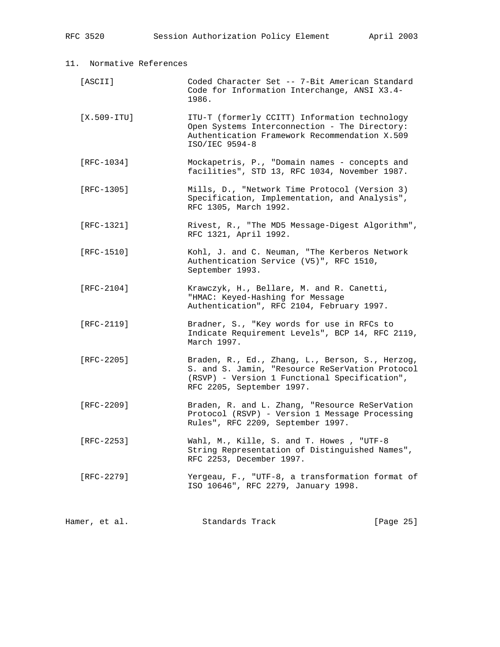| 11. Normative References |                                                                                                                                                                                  |           |
|--------------------------|----------------------------------------------------------------------------------------------------------------------------------------------------------------------------------|-----------|
| [ASCII]                  | Coded Character Set -- 7-Bit American Standard<br>Code for Information Interchange, ANSI X3.4-<br>1986.                                                                          |           |
| $[X.509-TTU]$            | ITU-T (formerly CCITT) Information technology<br>Open Systems Interconnection - The Directory:<br>Authentication Framework Recommendation X.509<br>ISO/IEC 9594-8                |           |
| $[RFC-1034]$             | Mockapetris, P., "Domain names - concepts and<br>facilities", STD 13, RFC 1034, November 1987.                                                                                   |           |
| $[RFC-1305]$             | Mills, D., "Network Time Protocol (Version 3)<br>Specification, Implementation, and Analysis",<br>RFC 1305, March 1992.                                                          |           |
| $[RFC-1321]$             | Rivest, R., "The MD5 Message-Digest Algorithm",<br>RFC 1321, April 1992.                                                                                                         |           |
| $[RFC-1510]$             | Kohl, J. and C. Neuman, "The Kerberos Network<br>Authentication Service (V5)", RFC 1510,<br>September 1993.                                                                      |           |
| [ $RFC-2104$ ]           | Krawczyk, H., Bellare, M. and R. Canetti,<br>"HMAC: Keyed-Hashing for Message<br>Authentication", RFC 2104, February 1997.                                                       |           |
| $[RFC-2119]$             | Bradner, S., "Key words for use in RFCs to<br>Indicate Requirement Levels", BCP 14, RFC 2119,<br>March 1997.                                                                     |           |
| [ $RFC-2205$ ]           | Braden, R., Ed., Zhang, L., Berson, S., Herzog,<br>S. and S. Jamin, "Resource ReSerVation Protocol<br>(RSVP) - Version 1 Functional Specification",<br>RFC 2205, September 1997. |           |
| [RFC-2209]               | Braden, R. and L. Zhang, "Resource ReSerVation<br>Protocol (RSVP) - Version 1 Message Processing<br>Rules", RFC 2209, September 1997.                                            |           |
| [RFC-2253]               | Wahl, M., Kille, S. and T. Howes, "UTF-8<br>String Representation of Distinguished Names",<br>RFC 2253, December 1997.                                                           |           |
| [ $RFC-2279$ ]           | Yergeau, F., "UTF-8, a transformation format of<br>ISO 10646", RFC 2279, January 1998.                                                                                           |           |
| Hamer, et al.            | Standards Track                                                                                                                                                                  | [Page 25] |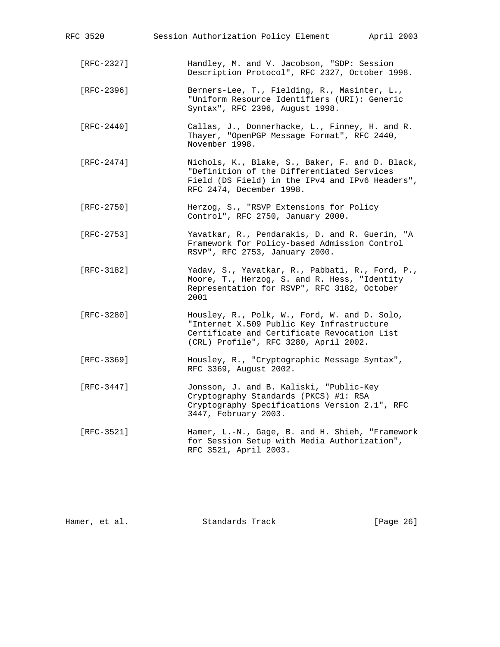| RFC 3520       | Session Authorization Policy Element April 2003                                                                                                                                   |
|----------------|-----------------------------------------------------------------------------------------------------------------------------------------------------------------------------------|
| [RFC-2327]     | Handley, M. and V. Jacobson, "SDP: Session<br>Description Protocol", RFC 2327, October 1998.                                                                                      |
| [ $RFC-2396$ ] | Berners-Lee, T., Fielding, R., Masinter, L.,<br>"Uniform Resource Identifiers (URI): Generic<br>Syntax", RFC 2396, August 1998.                                                   |
| [ $RFC-2440$ ] | Callas, J., Donnerhacke, L., Finney, H. and R.<br>Thayer, "OpenPGP Message Format", RFC 2440,<br>November 1998.                                                                   |
| $[RFC-2474]$   | Nichols, K., Blake, S., Baker, F. and D. Black,<br>"Definition of the Differentiated Services<br>Field (DS Field) in the IPv4 and IPv6 Headers",<br>RFC 2474, December 1998.      |
| $[RFC-2750]$   | Herzog, S., "RSVP Extensions for Policy<br>Control", RFC 2750, January 2000.                                                                                                      |
| [RFC-2753]     | Yavatkar, R., Pendarakis, D. and R. Guerin, "A<br>Framework for Policy-based Admission Control<br>RSVP", RFC 2753, January 2000.                                                  |
| [ $RFC-3182$ ] | Yadav, S., Yavatkar, R., Pabbati, R., Ford, P.,<br>Moore, T., Herzog, S. and R. Hess, "Identity<br>Representation for RSVP", RFC 3182, October<br>2001                            |
| [ $RFC-3280$ ] | Housley, R., Polk, W., Ford, W. and D. Solo,<br>"Internet X.509 Public Key Infrastructure<br>Certificate and Certificate Revocation List<br>(CRL) Profile", RFC 3280, April 2002. |
| [RFC-3369]     | Housley, R., "Cryptographic Message Syntax",<br>RFC 3369, August 2002.                                                                                                            |
| [RFC-3447]     | Jonsson, J. and B. Kaliski, "Public-Key<br>Cryptography Standards (PKCS) #1: RSA<br>Cryptography Specifications Version 2.1", RFC<br>3447, February 2003.                         |
| [ $RFC-3521$ ] | Hamer, L.-N., Gage, B. and H. Shieh, "Framework<br>for Session Setup with Media Authorization",<br>RFC 3521, April 2003.                                                          |
|                |                                                                                                                                                                                   |

| [Page 26] |
|-----------|
|           |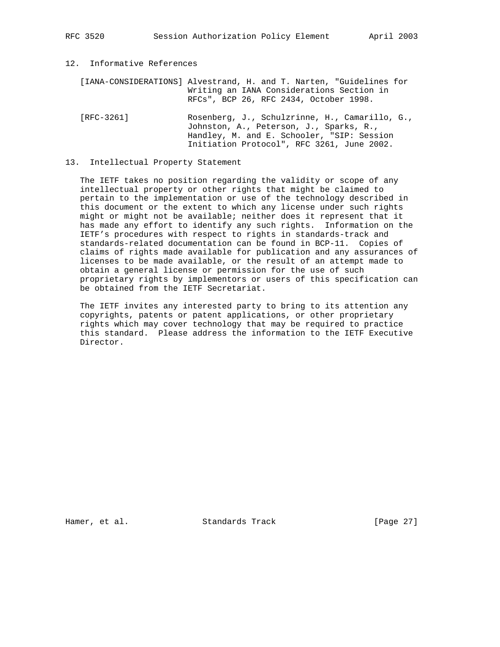12. Informative References

 [IANA-CONSIDERATIONS] Alvestrand, H. and T. Narten, "Guidelines for Writing an IANA Considerations Section in RFCs", BCP 26, RFC 2434, October 1998.

 [RFC-3261] Rosenberg, J., Schulzrinne, H., Camarillo, G., Johnston, A., Peterson, J., Sparks, R., Handley, M. and E. Schooler, "SIP: Session Initiation Protocol", RFC 3261, June 2002.

### 13. Intellectual Property Statement

 The IETF takes no position regarding the validity or scope of any intellectual property or other rights that might be claimed to pertain to the implementation or use of the technology described in this document or the extent to which any license under such rights might or might not be available; neither does it represent that it has made any effort to identify any such rights. Information on the IETF's procedures with respect to rights in standards-track and standards-related documentation can be found in BCP-11. Copies of claims of rights made available for publication and any assurances of licenses to be made available, or the result of an attempt made to obtain a general license or permission for the use of such proprietary rights by implementors or users of this specification can be obtained from the IETF Secretariat.

 The IETF invites any interested party to bring to its attention any copyrights, patents or patent applications, or other proprietary rights which may cover technology that may be required to practice this standard. Please address the information to the IETF Executive Director.

Hamer, et al. Standards Track [Page 27]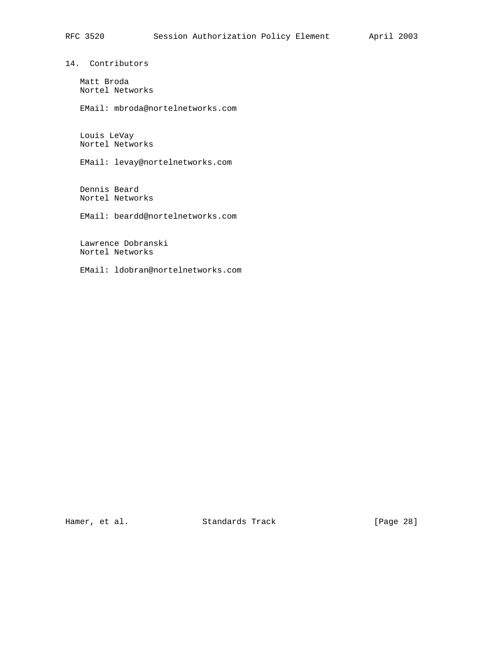14. Contributors

 Matt Broda Nortel Networks

EMail: mbroda@nortelnetworks.com

 Louis LeVay Nortel Networks

EMail: levay@nortelnetworks.com

 Dennis Beard Nortel Networks

EMail: beardd@nortelnetworks.com

 Lawrence Dobranski Nortel Networks

EMail: ldobran@nortelnetworks.com

Hamer, et al. Standards Track [Page 28]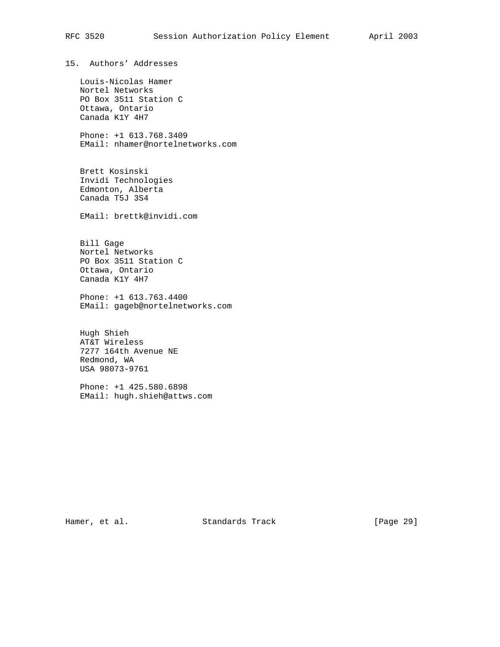15. Authors' Addresses Louis-Nicolas Hamer Nortel Networks PO Box 3511 Station C Ottawa, Ontario Canada K1Y 4H7 Phone: +1 613.768.3409 EMail: nhamer@nortelnetworks.com Brett Kosinski Invidi Technologies Edmonton, Alberta Canada T5J 3S4 EMail: brettk@invidi.com Bill Gage Nortel Networks PO Box 3511 Station C Ottawa, Ontario Canada K1Y 4H7 Phone: +1 613.763.4400 EMail: gageb@nortelnetworks.com Hugh Shieh AT&T Wireless 7277 164th Avenue NE Redmond, WA USA 98073-9761 Phone: +1 425.580.6898 EMail: hugh.shieh@attws.com

Hamer, et al. Standards Track [Page 29]